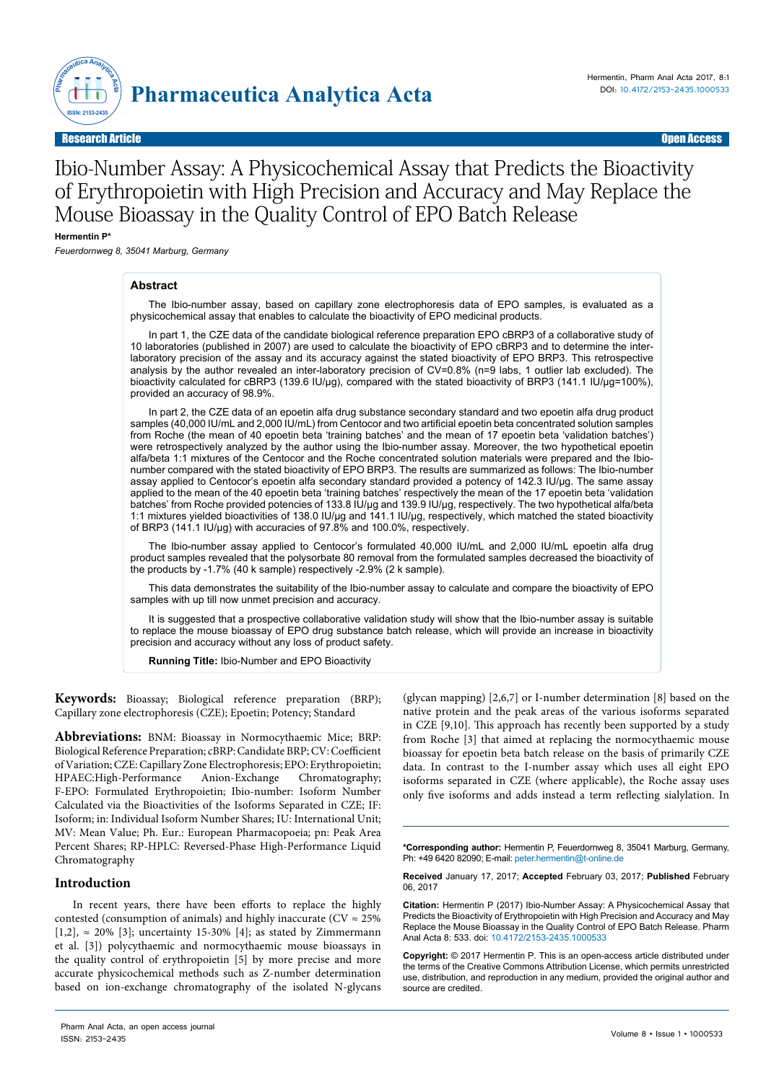

# Ibio-Number Assay: A Physicochemical Assay that Predicts the Bioactivity of Erythropoietin with High Precision and Accuracy and May Replace the Mouse Bioassay in the Quality Control of EPO Batch Release

**Hermentin P\***

*Feuerdornweg 8, 35041 Marburg, Germany*

## **Abstract**

The Ibio-number assay, based on capillary zone electrophoresis data of EPO samples, is evaluated as a physicochemical assay that enables to calculate the bioactivity of EPO medicinal products.

In part 1, the CZE data of the candidate biological reference preparation EPO cBRP3 of a collaborative study of 10 laboratories (published in 2007) are used to calculate the bioactivity of EPO cBRP3 and to determine the interlaboratory precision of the assay and its accuracy against the stated bioactivity of EPO BRP3. This retrospective analysis by the author revealed an inter-laboratory precision of CV=0.8% (n=9 labs, 1 outlier lab excluded). The bioactivity calculated for cBRP3 (139.6 IU/µg), compared with the stated bioactivity of BRP3 (141.1 IU/µg=100%), provided an accuracy of 98.9%.

In part 2, the CZE data of an epoetin alfa drug substance secondary standard and two epoetin alfa drug product samples (40,000 IU/mL and 2,000 IU/mL) from Centocor and two artificial epoetin beta concentrated solution samples from Roche (the mean of 40 epoetin beta 'training batches' and the mean of 17 epoetin beta 'validation batches') were retrospectively analyzed by the author using the Ibio-number assay. Moreover, the two hypothetical epoetin alfa/beta 1:1 mixtures of the Centocor and the Roche concentrated solution materials were prepared and the Ibionumber compared with the stated bioactivity of EPO BRP3. The results are summarized as follows: The Ibio-number assay applied to Centocor's epoetin alfa secondary standard provided a potency of 142.3 IU/µg. The same assay applied to the mean of the 40 epoetin beta 'training batches' respectively the mean of the 17 epoetin beta 'validation batches' from Roche provided potencies of 133.8 IU/µg and 139.9 IU/µg, respectively. The two hypothetical alfa/beta 1:1 mixtures yielded bioactivities of 138.0 IU/µg and 141.1 IU/µg, respectively, which matched the stated bioactivity of BRP3 (141.1 IU/µg) with accuracies of 97.8% and 100.0%, respectively.

The Ibio-number assay applied to Centocor's formulated 40,000 IU/mL and 2,000 IU/mL epoetin alfa drug product samples revealed that the polysorbate 80 removal from the formulated samples decreased the bioactivity of the products by -1.7% (40 k sample) respectively -2.9% (2 k sample).

This data demonstrates the suitability of the Ibio-number assay to calculate and compare the bioactivity of EPO samples with up till now unmet precision and accuracy.

It is suggested that a prospective collaborative validation study will show that the Ibio-number assay is suitable to replace the mouse bioassay of EPO drug substance batch release, which will provide an increase in bioactivity precision and accuracy without any loss of product safety.

**Running Title:** Ibio-Number and EPO Bioactivity

**Keywords:** Bioassay; Biological reference preparation (BRP); Capillary zone electrophoresis (CZE); Epoetin; Potency; Standard

**Abbreviations:** BNM: Bioassay in Normocythaemic Mice; BRP: Biological Reference Preparation; cBRP: Candidate BRP; CV: Coefficient of Variation; CZE: Capillary Zone Electrophoresis; EPO: Erythropoietin; HPAEC:High-Performance Anion-Exchange Chromatography; F-EPO: Formulated Erythropoietin; Ibio-number: Isoform Number Calculated via the Bioactivities of the Isoforms Separated in CZE; IF: Isoform; in: Individual Isoform Number Shares; IU: International Unit; MV: Mean Value; Ph. Eur.: European Pharmacopoeia; pn: Peak Area Percent Shares; RP-HPLC: Reversed-Phase High-Performance Liquid Chromatography

## **Introduction**

In recent years, there have been efforts to replace the highly contested (consumption of animals) and highly inaccurate ( $CV \approx 25\%$ [1,2],  $\approx$  20% [3]; uncertainty 15-30% [4]; as stated by Zimmermann et al. [3]) polycythaemic and normocythaemic mouse bioassays in the quality control of erythropoietin [5] by more precise and more accurate physicochemical methods such as Z-number determination based on ion-exchange chromatography of the isolated N-glycans

(glycan mapping) [2,6,7] or I-number determination [8] based on the native protein and the peak areas of the various isoforms separated in CZE [9,10]. This approach has recently been supported by a study from Roche [3] that aimed at replacing the normocythaemic mouse bioassay for epoetin beta batch release on the basis of primarily CZE data. In contrast to the I-number assay which uses all eight EPO isoforms separated in CZE (where applicable), the Roche assay uses only five isoforms and adds instead a term reflecting sialylation. In

**Citation:** Hermentin P (2017) Ibio-Number Assay: A Physicochemical Assay that Predicts the Bioactivity of Erythropoietin with High Precision and Accuracy and May Replace the Mouse Bioassay in the Quality Control of EPO Batch Release. Pharm Anal Acta 8: 533. doi: 10.4172/2153-2435.1000533

**Copyright:** © 2017 Hermentin P. This is an open-access article distributed under the terms of the Creative Commons Attribution License, which permits unrestricted use, distribution, and reproduction in any medium, provided the original author and source are credited.

**<sup>\*</sup>Corresponding author:** Hermentin P, Feuerdornweg 8, 35041 Marburg, Germany, Ph: +49 6420 82090; E-mail: peter.hermentin@t-online.de

**Received** January 17, 2017; **Accepted** February 03, 2017; **Published** February 06, 2017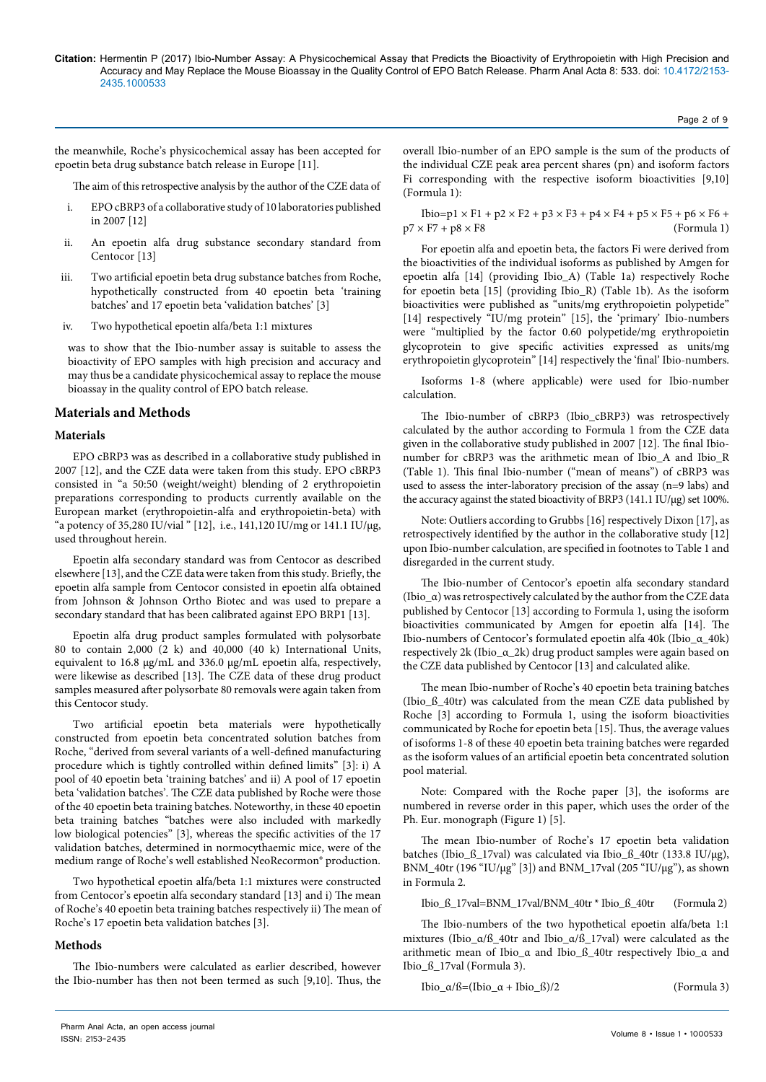the meanwhile, Roche's physicochemical assay has been accepted for epoetin beta drug substance batch release in Europe [11].

The aim of this retrospective analysis by the author of the CZE data of

- i. EPO cBRP3 of a collaborative study of 10 laboratories published in 2007 [12]
- ii. An epoetin alfa drug substance secondary standard from Centocor [13]
- iii. Two artificial epoetin beta drug substance batches from Roche, hypothetically constructed from 40 epoetin beta 'training batches' and 17 epoetin beta 'validation batches' [3]
- iv. Two hypothetical epoetin alfa/beta 1:1 mixtures

was to show that the Ibio-number assay is suitable to assess the bioactivity of EPO samples with high precision and accuracy and may thus be a candidate physicochemical assay to replace the mouse bioassay in the quality control of EPO batch release.

## **Materials and Methods**

## **Materials**

EPO cBRP3 was as described in a collaborative study published in 2007 [12], and the CZE data were taken from this study. EPO cBRP3 consisted in "a 50:50 (weight/weight) blending of 2 erythropoietin preparations corresponding to products currently available on the European market (erythropoietin-alfa and erythropoietin-beta) with "a potency of 35,280 IU/vial " [12], i.e., 141,120 IU/mg or 141.1 IU/µg, used throughout herein.

Epoetin alfa secondary standard was from Centocor as described elsewhere [13], and the CZE data were taken from this study. Briefly, the epoetin alfa sample from Centocor consisted in epoetin alfa obtained from Johnson & Johnson Ortho Biotec and was used to prepare a secondary standard that has been calibrated against EPO BRP1 [13].

Epoetin alfa drug product samples formulated with polysorbate 80 to contain 2,000 (2 k) and 40,000 (40 k) International Units, equivalent to 16.8 µg/mL and 336.0 µg/mL epoetin alfa, respectively, were likewise as described [13]. The CZE data of these drug product samples measured after polysorbate 80 removals were again taken from this Centocor study.

Two artificial epoetin beta materials were hypothetically constructed from epoetin beta concentrated solution batches from Roche, "derived from several variants of a well-defined manufacturing procedure which is tightly controlled within defined limits" [3]: i) A pool of 40 epoetin beta 'training batches' and ii) A pool of 17 epoetin beta 'validation batches'. The CZE data published by Roche were those of the 40 epoetin beta training batches. Noteworthy, in these 40 epoetin beta training batches "batches were also included with markedly low biological potencies" [3], whereas the specific activities of the 17 validation batches, determined in normocythaemic mice, were of the medium range of Roche's well established NeoRecormon® production.

Two hypothetical epoetin alfa/beta 1:1 mixtures were constructed from Centocor's epoetin alfa secondary standard [13] and i) The mean of Roche's 40 epoetin beta training batches respectively ii) The mean of Roche's 17 epoetin beta validation batches [3].

## **Methods**

The Ibio-numbers were calculated as earlier described, however the Ibio-number has then not been termed as such [9,10]. Thus, the

overall Ibio-number of an EPO sample is the sum of the products of the individual CZE peak area percent shares (pn) and isoform factors Fi corresponding with the respective isoform bioactivities [9,10] (Formula 1):

Ibio=p1  $\times$  F1 + p2  $\times$  F2 + p3  $\times$  F3 + p4  $\times$  F4 + p5  $\times$  F5 + p6  $\times$  F6 +  $p7 \times F7 + p8 \times F8$  (Formula 1)

For epoetin alfa and epoetin beta, the factors Fi were derived from the bioactivities of the individual isoforms as published by Amgen for epoetin alfa [14] (providing Ibio\_A) (Table 1a) respectively Roche for epoetin beta [15] (providing Ibio\_R) (Table 1b). As the isoform bioactivities were published as "units/mg erythropoietin polypetide" [14] respectively "IU/mg protein" [15], the 'primary' Ibio-numbers were "multiplied by the factor 0.60 polypetide/mg erythropoietin glycoprotein to give specific activities expressed as units/mg erythropoietin glycoprotein" [14] respectively the 'final' Ibio-numbers.

Isoforms 1-8 (where applicable) were used for Ibio-number calculation.

The Ibio-number of cBRP3 (Ibio\_cBRP3) was retrospectively calculated by the author according to Formula 1 from the CZE data given in the collaborative study published in 2007 [12]. The final Ibionumber for cBRP3 was the arithmetic mean of Ibio\_A and Ibio\_R (Table 1). This final Ibio-number ("mean of means") of cBRP3 was used to assess the inter-laboratory precision of the assay (n=9 labs) and the accuracy against the stated bioactivity of BRP3 (141.1 IU/µg) set 100%.

Note: Outliers according to Grubbs [16] respectively Dixon [17], as retrospectively identified by the author in the collaborative study [12] upon Ibio-number calculation, are specified in footnotes to Table 1 and disregarded in the current study.

The Ibio-number of Centocor's epoetin alfa secondary standard (Ibio\_α) was retrospectively calculated by the author from the CZE data published by Centocor [13] according to Formula 1, using the isoform bioactivities communicated by Amgen for epoetin alfa [14]. The Ibio-numbers of Centocor's formulated epoetin alfa 40k (Ibio\_α\_40k) respectively 2k (Ibio\_α\_2k) drug product samples were again based on the CZE data published by Centocor [13] and calculated alike.

The mean Ibio-number of Roche's 40 epoetin beta training batches (Ibio\_ß\_40tr) was calculated from the mean CZE data published by Roche [3] according to Formula 1, using the isoform bioactivities communicated by Roche for epoetin beta [15]. Thus, the average values of isoforms 1-8 of these 40 epoetin beta training batches were regarded as the isoform values of an artificial epoetin beta concentrated solution pool material.

Note: Compared with the Roche paper [3], the isoforms are numbered in reverse order in this paper, which uses the order of the Ph. Eur. monograph (Figure 1) [5].

The mean Ibio-number of Roche's 17 epoetin beta validation batches (Ibio ß 17val) was calculated via Ibio ß 40tr (133.8 IU/ $\mu$ g), BNM\_40tr (196 "IU/µg" [3]) and BNM\_17val (205 "IU/µg"), as shown in Formula 2.

Ibio\_ß\_17val=BNM\_17val/BNM\_40tr \* Ibio\_ß\_40tr (Formula 2)

The Ibio-numbers of the two hypothetical epoetin alfa/beta 1:1 mixtures (Ibio\_α/ß\_40tr and Ibio\_α/ß\_17val) were calculated as the arithmetic mean of Ibio\_α and Ibio\_ß\_40tr respectively Ibio\_α and Ibio\_ß\_17val (Formula 3).

Ibio\_α/ß=(Ibio\_α + Ibio\_ß)/2 (Formula 3)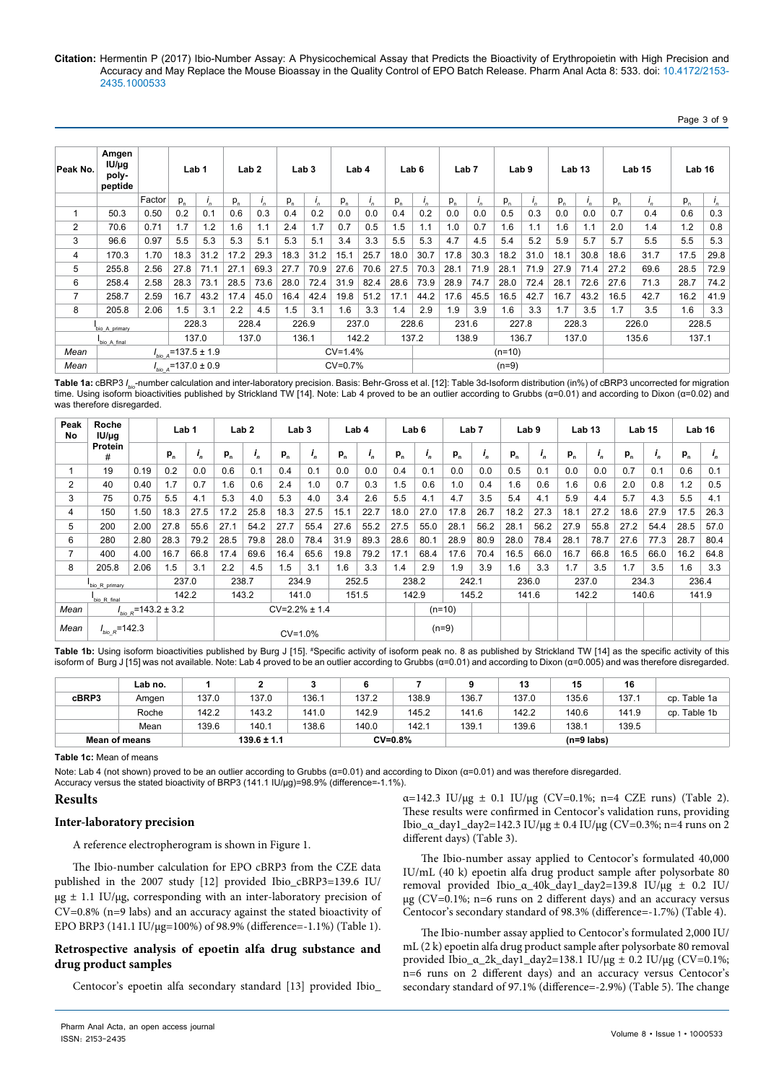#### Page 3 of 9

| Peak No.       | Amgen<br>$IU/\mu q$<br>poly-<br>peptide |        | Lab <sub>1</sub> |           |          | Lab <sub>2</sub> | Lab <sub>3</sub> |       |       | Lab 4 |         | Lab <sub>6</sub> | Lab <sub>7</sub> |         | Lab <sub>9</sub> |       | Lab <sub>13</sub> |       |       | Lab <sub>15</sub> | Lab 16 |               |
|----------------|-----------------------------------------|--------|------------------|-----------|----------|------------------|------------------|-------|-------|-------|---------|------------------|------------------|---------|------------------|-------|-------------------|-------|-------|-------------------|--------|---------------|
|                |                                         | Factor | $P_n$            | $I_n$     | $P_n$    | $I_n$            | $P_{n}$          | $I_n$ | $P_n$ | $I_n$ | $P_{n}$ | $I_n$            | $P_n$            | $I_{n}$ | $p_{n}$          | $I_n$ | $P_{n}$           | $I_n$ | $P_n$ | $I_n$             | $P_n$  | $\frac{1}{n}$ |
| 1              | 50.3                                    | 0.50   | 0.2              | 0.1       | 0.6      | 0.3              | 0.4              | 0.2   | 0.0   | 0.0   | 0.4     | 0.2              | 0.0              | 0.0     | 0.5              | 0.3   | 0.0               | 0.0   | 0.7   | 0.4               | 0.6    | 0.3           |
| $\overline{2}$ | 70.6                                    | 0.71   | 1.7              | 1.2       | 1.6      | 1.1              | 2.4              | 1.7   | 0.7   | 0.5   | 1.5     | 1.1              | 1.0              | 0.7     | 1.6              | 1.1   | 1.6               | 1.1   | 2.0   | 1.4               | 1.2    | 0.8           |
| 3              | 96.6                                    | 0.97   | 5.5              | 5.3       | 5.3      | 5.1              | 5.3              | 5.1   | 3.4   | 3.3   | 5.5     | 5.3              | 4.7              | 4.5     | 5.4              | 5.2   | 5.9               | 5.7   | 5.7   | 5.5               | 5.5    | 5.3           |
| 4              | 170.3                                   | 1.70   | 18.3             | 31.2      | 17.2     | 29.3             | 18.3             | 31.2  | 15.1  | 25.7  | 18.0    | 30.7             | 17.8             | 30.3    | 18.2             | 31.0  | 18.1              | 30.8  | 18.6  | 31.7              | 17.5   | 29.8          |
| 5              | 255.8                                   | 2.56   | 27.8             | 71.1      | 27.1     | 69.3             | 27.7             | 70.9  | 27.6  | 70.6  | 27.5    | 70.3             | 28.1             | 71.9    | 28.1             | 71.9  | 27.9              | 71.4  | 27.2  | 69.6              | 28.5   | 72.9          |
| 6              | 258.4                                   | 2.58   | 28.3             | 73.1      | 28.5     | 73.6             | 28.0             | 72.4  | 31.9  | 82.4  | 28.6    | 73.9             | 28.9             | 74.7    | 28.0             | 72.4  | 28.1              | 72.6  | 27.6  | 71.3              | 28.7   | 74.2          |
| $\overline{7}$ | 258.7                                   | 2.59   | 16.7             | 43.2      | 17.4     | 45.0             | 16.4             | 42.4  | 19.8  | 51.2  | 17.1    | 44.2             | 17.6             | 45.5    | 16.5             | 42.7  | 16.7              | 43.2  | 16.5  | 42.7              | 16.2   | 41.9          |
| 8              | 205.8                                   | 2.06   | 1.5              | 3.1       | 2.2      | 4.5              | 1.5              | 3.1   | 1.6   | 3.3   | 1.4     | 2.9              | 1.9              | 3.9     | 1.6              | 3.3   | 1.7               | 3.5   | 1.7   | 3.5               | 1.6    | 3.3           |
|                | 228.3<br>228.4<br>bio A primary         |        |                  | 226.9     |          |                  | 237.0            |       | 228.6 |       | 231.6   | 227.8            |                  | 228.3   |                  |       | 226.0             | 228.5 |       |                   |        |               |
|                | 137.0<br>137.0<br>bio A final           |        |                  | 136.1     |          |                  | 142.2            |       | 137.2 |       | 138.9   |                  | 136.7            |         | 137.0            |       | 135.6             | 137.1 |       |                   |        |               |
| Mean           | $I_{bio A}$ =137.5 ± 1.9                |        | $CV=1.4%$        |           | $(n=10)$ |                  |                  |       |       |       |         |                  |                  |         |                  |       |                   |       |       |                   |        |               |
| Mean           | $I_{bio A}$ =137.0 ± 0.9                |        |                  | $CV=0.7%$ |          |                  | $(n=9)$          |       |       |       |         |                  |                  |         |                  |       |                   |       |       |                   |        |               |

**Table 1a:** cBRP3 *I bio*-number calculation and inter-laboratory precision. Basis: Behr-Gross et al. [12]: Table 3d-Isoform distribution (in%) of cBRP3 uncorrected for migration time. Using isoform bioactivities published by Strickland TW [14]. Note: Lab 4 proved to be an outlier according to Grubbs (α=0.01) and according to Dixon (α=0.02) and was therefore disregarded.

| Peak<br>No     | Roche<br>$IUI/\mu g$ |      |                           | Lab 1   |         | Lab <sub>2</sub>   |                   | Lab <sub>3</sub> |         | Lab 4   |         | Lab 6   |          | Lab <sub>7</sub> |      | Lab <sub>9</sub> |         | Lab <sub>13</sub> |         | Lab <sub>15</sub> | Lab <sub>16</sub> |         |
|----------------|----------------------|------|---------------------------|---------|---------|--------------------|-------------------|------------------|---------|---------|---------|---------|----------|------------------|------|------------------|---------|-------------------|---------|-------------------|-------------------|---------|
|                | Protein<br>#         |      | $P_{n}$                   | $i_{n}$ | $P_{n}$ | $\boldsymbol{i}_n$ | $P_n$             | $\mathbf{I}_n$   | $P_{n}$ | $i_{n}$ | $P_{n}$ | $i_{n}$ | $P_{n}$  | $\mathbf{I}_n$   | p,   | $i_{n}$          | $P_{n}$ | $i_{n}$           | $P_{n}$ | $\mathbf{I}_n$    | $P_{n}$           | $i_{n}$ |
|                | 19                   | 0.19 | 0.2                       | 0.0     | 0.6     | 0.1                | 0.4               | 0.1              | 0.0     | 0.0     | 0.4     | 0.1     | 0.0      | 0.0              | 0.5  | 0.1              | 0.0     | 0.0               | 0.7     | 0.1               | 0.6               | 0.1     |
| $\overline{2}$ | 40                   | 0.40 | 1.7                       | 0.7     | 1.6     | 0.6                | 2.4               | 1.0              | 0.7     | 0.3     | 1.5     | 0.6     | 1.0      | 0.4              | 1.6  | 0.6              | 1.6     | 0.6               | 2.0     | 0.8               | 1.2               | 0.5     |
| 3              | 75                   | 0.75 | 5.5                       | 4.1     | 5.3     | 4.0                | 5.3               | 4.0              | 3.4     | 2.6     | 5.5     | 4.1     | 4.7      | 3.5              | 5.4  | 4.1              | 5.9     | 4.4               | 5.7     | 4.3               | 5.5               | 4.1     |
| 4              | 150                  | 1.50 | 18.3                      | 27.5    | 17.2    | 25.8               | 18.3              | 27.5             | 15.1    | 22.7    | 18.0    | 27.0    | 17.8     | 26.7             | 18.2 | 27.3             | 18.1    | 27.2              | 18.6    | 27.9              | 17.5              | 26.3    |
| 5              | 200                  | 2.00 | 27.8                      | 55.6    | 27.1    | 54.2               | 27.7              | 55.4             | 27.6    | 55.2    | 27.5    | 55.0    | 28.1     | 56.2             | 28.1 | 56.2             | 27.9    | 55.8              | 27.2    | 54.4              | 28.5              | 57.0    |
| 6              | 280                  | 2.80 | 28.3                      | 79.2    | 28.5    | 79.8               | 28.0              | 78.4             | 31.9    | 89.3    | 28.6    | 80.1    | 28.9     | 80.9             | 28.0 | 78.4             | 28.1    | 78.7              | 27.6    | 77.3              | 28.7              | 80.4    |
| 7              | 400                  | 4.00 | 16.7                      | 66.8    | 17.4    | 69.6               | 16.4              | 65.6             | 19.8    | 79.2    | 17.1    | 68.4    | 17.6     | 70.4             | 16.5 | 66.0             | 16.7    | 66.8              | 16.5    | 66.0              | 16.2              | 64.8    |
| 8              | 205.8                | 2.06 | 1.5                       | 3.1     | 2.2     | 4.5                | 1.5               | 3.1              | 1.6     | 3.3     | 1.4     | 2.9     | 1.9      | 3.9              | 1.6  | 3.3              | 1.7     | 3.5               | 1.7     | 3.5               | 1.6               | 3.3     |
|                | bio R primary        |      |                           | 237.0   | 238.7   |                    |                   | 234.9            |         | 252.5   |         | 238.2   |          | 242.1            |      | 236.0            |         | 237.0             | 234.3   |                   | 236.4             |         |
|                | bio R final          |      |                           | 142.2   |         | 143.2              |                   | 141.0            |         | 151.5   |         | 142.9   |          | 145.2            |      | 141.6            |         | 142.2             |         | 140.6             |                   | 141.9   |
| Mean           |                      |      | $I_{bio, R}$ =143.2 ± 3.2 |         |         |                    | $CV=2.2% \pm 1.4$ |                  |         |         |         |         | $(n=10)$ |                  |      |                  |         |                   |         |                   |                   |         |
| Mean           | $I_{bio_R} = 142.3$  |      |                           |         |         |                    |                   | $CV=1.0%$        |         |         |         |         | $(n=9)$  |                  |      |                  |         |                   |         |                   |                   |         |

Table 1b: Using isoform bioactivities published by Burg J [15]. #Specific activity of isoform peak no. 8 as published by Strickland TW [14] as the specific activity of this isoform of Burg J [15] was not available. Note: Lab 4 proved to be an outlier according to Grubbs (α=0.01) and according to Dixon (α=0.005) and was therefore disregarded.

|                      | Lab no. |       |                 |       |       |           |       | 13    | 15           | 16    |                 |
|----------------------|---------|-------|-----------------|-------|-------|-----------|-------|-------|--------------|-------|-----------------|
| cBRP3                | Amgen   | 137.0 | 137.0           | 136.1 | 137.2 | 138.9     | 136.7 | 137.0 | 135.6        | 137.1 | Table 1a<br>CD. |
|                      | Roche   | 142.2 | 143.2           | 141.0 | 142.9 | 145.2     | 141.6 | 142.2 | 140.6        | 141.9 | cp. Table 1b    |
|                      | Mean    | 139.6 | 140.1           | 138.6 | 140.0 | 142.1     | 139.1 | 139.6 | 138.1        | 139.5 |                 |
| <b>Mean of means</b> |         |       | $139.6 \pm 1.1$ |       |       | $CV=0.8%$ |       |       | $(n=9$ labs) |       |                 |

**Table 1c:** Mean of means

Note: Lab 4 (not shown) proved to be an outlier according to Grubbs (α=0.01) and according to Dixon (α=0.01) and was therefore disregarded.

Accuracy versus the stated bioactivity of BRP3 (141.1 IU/µg)=98.9% (difference=-1.1%).

## **Results**

## **Inter-laboratory precision**

A reference electropherogram is shown in Figure 1.

The Ibio-number calculation for EPO cBRP3 from the CZE data published in the 2007 study [12] provided Ibio\_cBRP3=139.6 IU/  $\mu$ g  $\pm$  1.1 IU/ $\mu$ g, corresponding with an inter-laboratory precision of CV=0.8% (n=9 labs) and an accuracy against the stated bioactivity of EPO BRP3 (141.1 IU/µg=100%) of 98.9% (difference=-1.1%) (Table 1).

# **Retrospective analysis of epoetin alfa drug substance and drug product samples**

Centocor's epoetin alfa secondary standard [13] provided Ibio\_

 $\alpha = 142.3 \text{ IU/µg } \pm 0.1 \text{ IU/µg (CV=0.1%; n=4 CZE runs) (Table 2).}$ These results were confirmed in Centocor's validation runs, providing Ibio\_α\_day1\_day2=142.3 IU/μg  $\pm$  0.4 IU/μg (CV=0.3%; n=4 runs on 2 different days) (Table 3).

The Ibio-number assay applied to Centocor's formulated 40,000 IU/mL (40 k) epoetin alfa drug product sample after polysorbate 80 removal provided Ibio\_α\_40k\_day1\_day2=139.8 IU/µg ± 0.2 IU/ µg (CV=0.1%; n=6 runs on 2 different days) and an accuracy versus Centocor's secondary standard of 98.3% (difference=-1.7%) (Table 4).

The Ibio-number assay applied to Centocor's formulated 2,000 IU/ mL (2 k) epoetin alfa drug product sample after polysorbate 80 removal provided Ibio\_α\_2k\_day1\_day2=138.1 IU/µg ± 0.2 IU/µg (CV=0.1%; n=6 runs on 2 different days) and an accuracy versus Centocor's secondary standard of 97.1% (difference=-2.9%) (Table 5). The change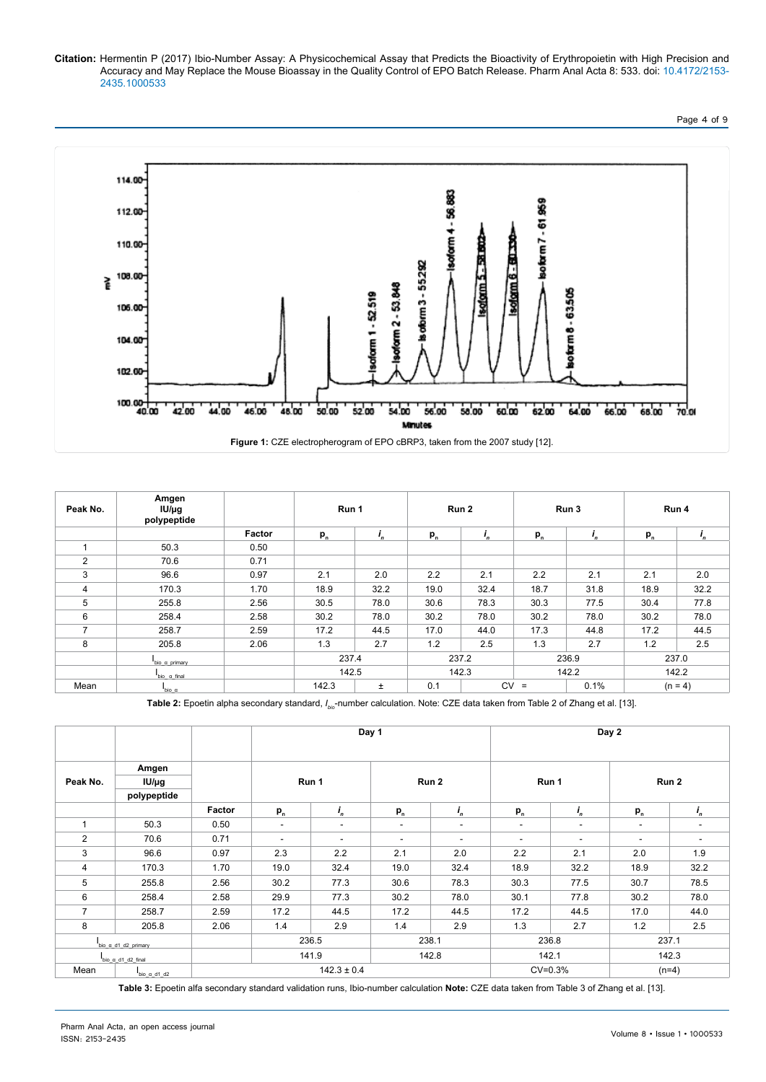

| Peak No.       | Amgen<br>$IU/\mu g$<br>polypeptide |        | Run 1          |      | Run 2 |      |                               | Run 3 | Run 4     |         |
|----------------|------------------------------------|--------|----------------|------|-------|------|-------------------------------|-------|-----------|---------|
|                |                                    | Factor | $P_n$          | ι,   | $P_n$ |      | $p_{n}$                       |       | $P_n$     | $I_{n}$ |
|                | 50.3                               | 0.50   |                |      |       |      |                               |       |           |         |
| 2              | 70.6                               | 0.71   |                |      |       |      |                               |       |           |         |
| 3              | 96.6                               | 0.97   | 2.1            | 2.0  | 2.2   | 2.1  | 2.2                           | 2.1   | 2.1       | 2.0     |
| $\overline{4}$ | 170.3                              | 1.70   | 18.9           | 32.2 | 19.0  | 32.4 | 18.7                          | 31.8  | 18.9      | 32.2    |
| 5              | 255.8                              | 2.56   | 30.5           | 78.0 | 30.6  | 78.3 | 30.3                          | 77.5  | 30.4      | 77.8    |
| 6              | 258.4                              | 2.58   | 30.2           | 78.0 | 30.2  | 78.0 | 30.2                          | 78.0  | 30.2      | 78.0    |
| $\overline{ }$ | 258.7                              | 2.59   | 17.2           | 44.5 | 17.0  | 44.0 | 17.3                          | 44.8  | 17.2      | 44.5    |
| 8              | 205.8                              | 2.06   | 1.3            | 2.7  | 1.2   | 2.5  | 1.3                           | 2.7   | 1.2       | 2.5     |
|                | bio_a_primary                      |        | 237.4          |      | 237.2 |      | 236.9                         |       | 237.0     |         |
|                | bio a final                        |        | 142.5          |      | 142.3 |      | 142.2                         |       | 142.2     |         |
| Mean           | $bio_\alpha$                       |        | 142.3<br>$\pm$ |      | 0.1   |      | <b>CV</b><br>0.1%<br>$\equiv$ |       | $(n = 4)$ |         |

**Table 2:** Epoetin alpha secondary standard, *I bio*-number calculation. Note: CZE data taken from Table 2 of Zhang et al. [13].

|                |                     |        |                          |                          | Day 1  |                          |                          |                          | Day 2                    |         |
|----------------|---------------------|--------|--------------------------|--------------------------|--------|--------------------------|--------------------------|--------------------------|--------------------------|---------|
|                | Amgen               |        |                          |                          |        |                          |                          |                          |                          |         |
| Peak No.       | $IU/\mu g$          |        | Run 1                    |                          |        | Run 2                    | Run 1                    |                          |                          | Run 2   |
|                | polypeptide         |        |                          |                          |        |                          |                          |                          |                          |         |
|                |                     | Factor | $P_n$                    | $i_{n}$                  | $P_n$  | i,                       | $P_n$                    | $i_{n}$                  | $P_n$                    | $i_{n}$ |
| 1              | 50.3                | 0.50   | $\overline{\phantom{a}}$ | $\overline{\phantom{a}}$ | $\sim$ | $\overline{\phantom{0}}$ | $\overline{\phantom{a}}$ | $\overline{\phantom{a}}$ | $\overline{\phantom{a}}$ | ٠       |
| $\overline{2}$ | 70.6                | 0.71   | $\sim$                   | ۰                        |        | $\overline{\phantom{a}}$ | $\overline{\phantom{a}}$ | ۰.                       | ۰                        | ٠       |
| 3              | 96.6                | 0.97   | 2.3                      | 2.2                      | 2.1    | 2.0                      | 2.2                      | 2.1                      | 2.0                      | 1.9     |
| 4              | 170.3               | 1.70   | 19.0                     | 32.4                     | 19.0   | 32.4                     | 18.9                     | 32.2                     | 18.9                     | 32.2    |
| 5              | 255.8               | 2.56   | 30.2                     | 77.3                     | 30.6   | 78.3                     | 30.3                     | 77.5                     | 30.7                     | 78.5    |
| 6              | 258.4               | 2.58   | 29.9                     | 77.3                     | 30.2   | 78.0                     | 30.1                     | 77.8                     | 30.2                     | 78.0    |
| $\overline{7}$ | 258.7               | 2.59   | 17.2                     | 44.5                     | 17.2   | 44.5                     | 17.2                     | 44.5                     | 17.0                     | 44.0    |
| 8              | 205.8               | 2.06   | 1.4                      | 2.9                      | 1.4    | 2.9                      | 1.3                      | 2.7                      | 1.2                      | 2.5     |
|                | bio_a_d1_d2_primary |        |                          | 236.5                    |        | 238.1                    | 236.8                    |                          |                          | 237.1   |
|                | bio a d1 d2 final   |        |                          | 141.9                    |        | 142.8                    |                          | 142.1                    |                          | 142.3   |
| Mean           | bio a d1 d2         |        |                          | $142.3 \pm 0.4$          |        |                          | $CV=0.3%$                |                          | $(n=4)$                  |         |

**Table 3:** Epoetin alfa secondary standard validation runs, Ibio-number calculation **Note:** CZE data taken from Table 3 of Zhang et al. [13].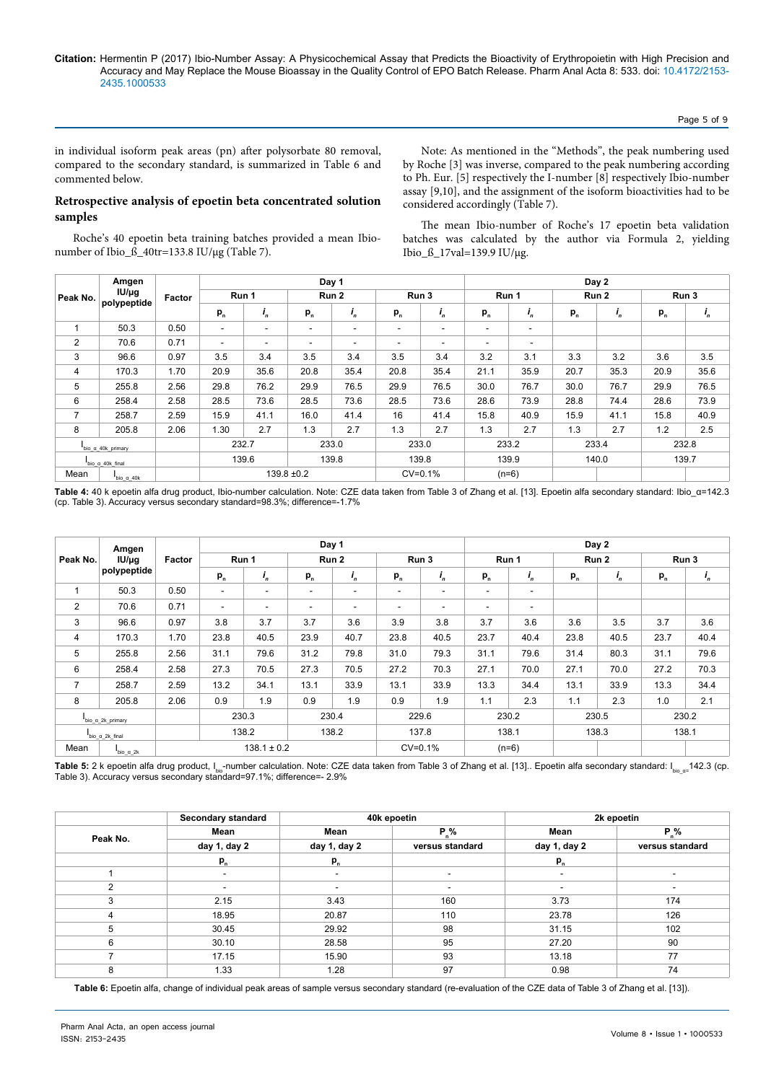Page 5 of 9

in individual isoform peak areas (pn) after polysorbate 80 removal, compared to the secondary standard, is summarized in Table 6 and commented below.

Note: As mentioned in the "Methods", the peak numbering used by Roche [3] was inverse, compared to the peak numbering according to Ph. Eur. [5] respectively the I-number [8] respectively Ibio-number assay [9,10], and the assignment of the isoform bioactivities had to be considered accordingly (Table 7).

## **Retrospective analysis of epoetin beta concentrated solution samples**

Roche's 40 epoetin beta training batches provided a mean Ibionumber of Ibio\_ß\_40tr=133.8 IU/µg (Table 7).

The mean Ibio-number of Roche's 17 epoetin beta validation batches was calculated by the author via Formula 2, yielding Ibio\_ß\_17val=139.9 IU/µg.

|                            | Amgen<br>$IU/\mu g$ |        |                          |                          |                          | Day 1                    |                          |           |         |                          |       | Day 2 |       |         |
|----------------------------|---------------------|--------|--------------------------|--------------------------|--------------------------|--------------------------|--------------------------|-----------|---------|--------------------------|-------|-------|-------|---------|
| Peak No.                   |                     | Factor |                          | Run 1                    |                          | Run 2                    |                          | Run 3     |         | Run 1                    |       | Run 2 |       | Run 3   |
|                            | polypeptide         |        | $P_n$                    | $I_n$                    | $P_n$                    | ',                       | $P_n$                    | ',        | $P_n$   | $I_n$                    | $P_n$ | $I_n$ | $P_n$ | $i_{n}$ |
| 1                          | 50.3                | 0.50   | $\overline{\phantom{a}}$ | $\overline{\phantom{a}}$ | $\overline{\phantom{a}}$ | $\overline{\phantom{a}}$ | $\overline{\phantom{a}}$ | ٠         | ٠       | -                        |       |       |       |         |
| 2                          | 70.6                | 0.71   | $\sim$                   | $\overline{\phantom{a}}$ | $\overline{\phantom{a}}$ | $\overline{\phantom{a}}$ | ٠                        | ۰         | ۰       | $\overline{\phantom{a}}$ |       |       |       |         |
| 3                          | 96.6                | 0.97   | 3.5                      | 3.4                      | 3.5                      | 3.4                      | 3.5                      | 3.4       | 3.2     | 3.1                      | 3.3   | 3.2   | 3.6   | 3.5     |
| 4                          | 170.3               | 1.70   | 20.9                     | 35.6                     | 20.8                     | 35.4                     | 20.8                     | 35.4      | 21.1    | 35.9                     | 20.7  | 35.3  | 20.9  | 35.6    |
| 5                          | 255.8               | 2.56   | 29.8                     | 76.2                     | 29.9                     | 76.5                     | 29.9                     | 76.5      | 30.0    | 76.7                     | 30.0  | 76.7  | 29.9  | 76.5    |
| 6                          | 258.4               | 2.58   | 28.5                     | 73.6                     | 28.5                     | 73.6                     | 28.5                     | 73.6      | 28.6    | 73.9                     | 28.8  | 74.4  | 28.6  | 73.9    |
| 7                          | 258.7               | 2.59   | 15.9                     | 41.1                     | 16.0                     | 41.4                     | 16                       | 41.4      | 15.8    | 40.9                     | 15.9  | 41.1  | 15.8  | 40.9    |
| 8                          | 205.8               | 2.06   | 1.30                     | 2.7                      | 1.3                      | 2.7                      | 1.3                      | 2.7       | 1.3     | 2.7                      | 1.3   | 2.7   | 1.2   | 2.5     |
| bio_ $\alpha$ _40k_primary |                     |        |                          | 232.7                    |                          | 233.0                    |                          | 233.0     | 233.2   |                          | 233.4 |       | 232.8 |         |
|                            | bio α 40k final     |        |                          | 139.6                    |                          | 139.8                    |                          | 139.8     |         | 139.9                    |       | 140.0 |       | 139.7   |
| Mean                       | bio a 40k           |        |                          |                          | $139.8 \pm 0.2$          |                          |                          | $CV=0.1%$ | $(n=6)$ |                          |       |       |       |         |

Table 4: 40 k epoetin alfa drug product, Ibio-number calculation. Note: CZE data taken from Table 3 of Zhang et al. [13]. Epoetin alfa secondary standard: Ibio\_α=142.3 (cp. Table 3). Accuracy versus secondary standard=98.3%; difference=-1.7%

|                  | Amgen                               |                 |                          |                |                          | Day 1                    |       |                          |         |                |       | Day 2   |       |                |
|------------------|-------------------------------------|-----------------|--------------------------|----------------|--------------------------|--------------------------|-------|--------------------------|---------|----------------|-------|---------|-------|----------------|
| Peak No.         | $IU/\mu q$                          | Factor          |                          | Run 1          |                          | Run 2                    |       | Run 3                    |         | Run 1          |       | Run 2   |       | Run 3          |
|                  | polypeptide                         |                 | $P_n$                    | $\mathbf{I}_n$ | $P_{n}$                  | $\mathbf{I}_n$           | $P_n$ | $\mathbf{i}_n$           | $P_{n}$ | $\mathbf{I}_n$ | $P_n$ | $I_{n}$ | $P_n$ | $\mathbf{I}_n$ |
| 1                | 50.3                                | 0.50            | $\overline{\phantom{a}}$ | ٠              | $\overline{\phantom{a}}$ | $\overline{\phantom{a}}$ | ۰     | $\overline{\phantom{a}}$ | ۰       | ۰.             |       |         |       |                |
| $\overline{2}$   | 70.6                                | 0.71            | $\overline{\phantom{a}}$ | ۰              | ٠                        | $\overline{\phantom{a}}$ | ۰     | $\overline{\phantom{a}}$ | ۰       | ۰              |       |         |       |                |
| 3                | 96.6                                | 0.97            | 3.8                      | 3.7            | 3.7                      | 3.6                      | 3.9   | 3.8                      | 3.7     | 3.6            | 3.6   | 3.5     | 3.7   | 3.6            |
| $\overline{4}$   | 170.3                               | 1.70            | 23.8                     | 40.5           | 23.9                     | 40.7                     | 23.8  | 40.5                     | 23.7    | 40.4           | 23.8  | 40.5    | 23.7  | 40.4           |
| 5                | 255.8                               | 2.56            | 31.1                     | 79.6           | 31.2                     | 79.8                     | 31.0  | 79.3                     | 31.1    | 79.6           | 31.4  | 80.3    | 31.1  | 79.6           |
| 6                | 258.4                               | 2.58            | 27.3                     | 70.5           | 27.3                     | 70.5                     | 27.2  | 70.3                     | 27.1    | 70.0           | 27.1  | 70.0    | 27.2  | 70.3           |
| $\overline{7}$   | 258.7                               | 2.59            | 13.2                     | 34.1           | 13.1                     | 33.9                     | 13.1  | 33.9                     | 13.3    | 34.4           | 13.1  | 33.9    | 13.3  | 34.4           |
| 8                | 205.8                               | 2.06            | 0.9                      | 1.9            | 0.9                      | 1.9                      | 0.9   | 1.9                      | 1.1     | 2.3            | 1.1   | 2.3     | 1.0   | 2.1            |
| bio_a_2k_primary |                                     |                 |                          | 230.3          | 230.4                    |                          | 229.6 |                          | 230.2   |                | 230.5 |         | 230.2 |                |
|                  | $\frac{1}{\text{bio}_a 2k}$ final   |                 |                          | 138.2          |                          | 138.2                    |       | 137.8                    |         | 138.1          |       | 138.3   |       | 138.1          |
| Mean             | $\frac{1}{\text{bio}_2 \alpha_2}$ k | $138.1 \pm 0.2$ |                          |                |                          | $CV=0.1%$                |       | $(n=6)$                  |         |                |       |         |       |                |

**Table 5:** 2 k epoetin alfa drug product, I<sub>bio</sub>-number calculation. Note: CZE data taken from Table 3 of Zhang et al. [13].. Epoetin alfa secondary standard: I<sub>bio\_a</sub>=142.3 (cp. Table 3). Accuracy versus secondary standard=97.1%; difference=- 2.9%

|                | Secondary standard |              | 40k epoetin     |                          | 2k epoetin               |
|----------------|--------------------|--------------|-----------------|--------------------------|--------------------------|
| Peak No.       | Mean               | Mean         | $P_{.}\%$       | Mean                     | $P_{n}\%$                |
|                | day 1, day 2       | day 1, day 2 | versus standard | day 1, day 2             | versus standard          |
|                | $P_n$              | $P_n$        |                 | $P_{n}$                  |                          |
|                | ۰                  | ۰            |                 | $\overline{\phantom{a}}$ | $\overline{\phantom{a}}$ |
| 2              |                    |              |                 |                          |                          |
| 3              | 2.15               | 3.43         | 160             | 3.73                     | 174                      |
| $\overline{4}$ | 18.95              | 20.87        | 110             | 23.78                    | 126                      |
| 5              | 30.45              | 29.92        | 98              | 31.15                    | 102                      |
| 6              | 30.10              | 28.58        | 95              | 27.20                    | 90                       |
|                | 17.15              | 15.90        | 93              | 13.18                    | 77                       |
| 8              | 1.33               | 1.28         | 97              | 0.98                     | 74                       |

 **Table 6:** Epoetin alfa, change of individual peak areas of sample versus secondary standard (re-evaluation of the CZE data of Table 3 of Zhang et al. [13]).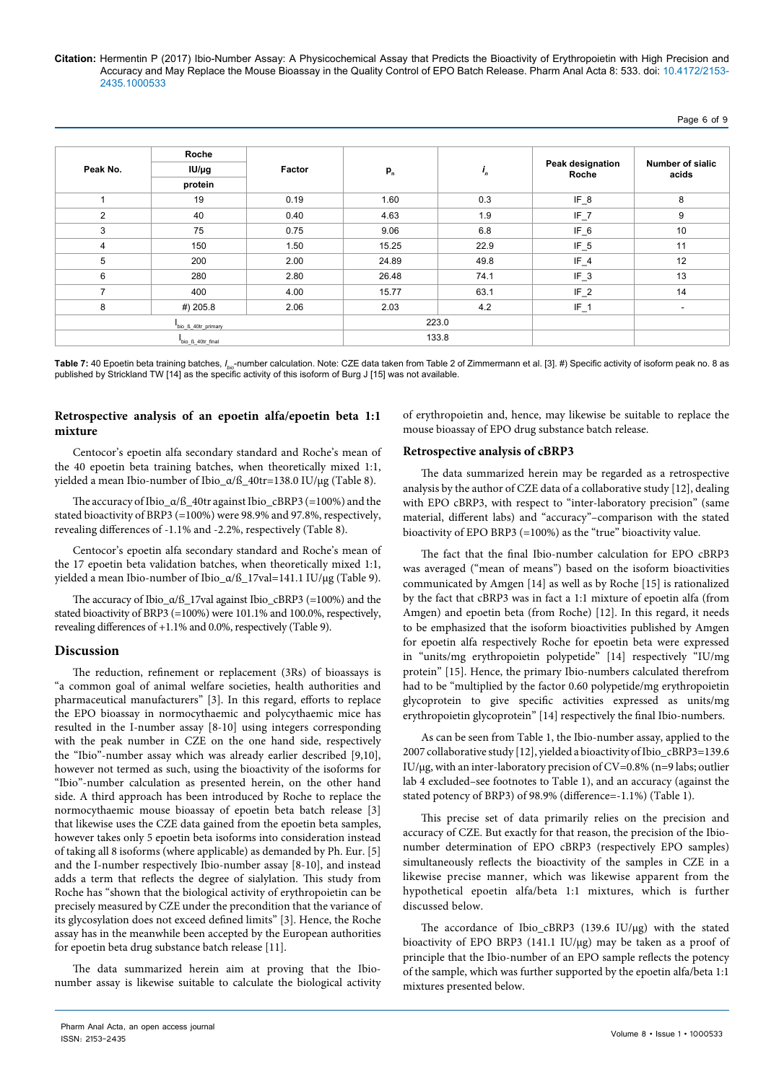|                | Roche<br>$IUI/\mu g$ |        |       |       |                           |                                  |
|----------------|----------------------|--------|-------|-------|---------------------------|----------------------------------|
| Peak No.       |                      | Factor | $P_n$ | $I_n$ | Peak designation<br>Roche | <b>Number of sialic</b><br>acids |
|                | protein              |        |       |       |                           |                                  |
| 4              | 19                   | 0.19   | 1.60  | 0.3   | $IF_8$                    | 8                                |
| 2              | 40                   | 0.40   | 4.63  | 1.9   | $IF_7$                    | 9                                |
| 3              | 75                   | 0.75   | 9.06  | 6.8   | $IF_6$                    | 10                               |
| $\overline{4}$ | 150                  | 1.50   | 15.25 | 22.9  | $IF_5$                    | 11                               |
| 5              | 200                  | 2.00   | 24.89 | 49.8  | $IF_4$                    | 12                               |
| 6              | 280                  | 2.80   | 26.48 | 74.1  | $IF_3$                    | 13                               |
| 7              | 400                  | 4.00   | 15.77 | 63.1  | $IF_2$                    | 14                               |
| 8              | #) 205.8             | 2.06   | 2.03  | 4.2   | $IF_1$                    | $\overline{\phantom{a}}$         |
|                | bio_ß_40tr_primary   |        | 223.0 |       |                           |                                  |
|                | bio_ß_40tr_final     |        | 133.8 |       |                           |                                  |

**Table 7:** 40 Epoetin beta training batches, /<sub>bio</sub>-number calculation. Note: CZE data taken from Table 2 of Zimmermann et al. [3]. #) Specific activity of isoform peak no. 8 as published by Strickland TW [14] as the specific activity of this isoform of Burg J [15] was not available.

# **Retrospective analysis of an epoetin alfa/epoetin beta 1:1 mixture**

Centocor's epoetin alfa secondary standard and Roche's mean of the 40 epoetin beta training batches, when theoretically mixed 1:1, yielded a mean Ibio-number of Ibio\_α/ß\_40tr=138.0 IU/µg (Table 8).

The accuracy of Ibio\_α/ß\_40tr against Ibio\_cBRP3 (=100%) and the stated bioactivity of BRP3 (=100%) were 98.9% and 97.8%, respectively, revealing differences of -1.1% and -2.2%, respectively (Table 8).

Centocor's epoetin alfa secondary standard and Roche's mean of the 17 epoetin beta validation batches, when theoretically mixed 1:1, yielded a mean Ibio-number of Ibio\_α/ß\_17val=141.1 IU/µg (Table 9).

The accuracy of Ibio\_α/ß\_17val against Ibio\_cBRP3 (=100%) and the stated bioactivity of BRP3 (=100%) were 101.1% and 100.0%, respectively, revealing differences of +1.1% and 0.0%, respectively (Table 9).

## **Discussion**

The reduction, refinement or replacement (3Rs) of bioassays is "a common goal of animal welfare societies, health authorities and pharmaceutical manufacturers" [3]. In this regard, efforts to replace the EPO bioassay in normocythaemic and polycythaemic mice has resulted in the I-number assay [8-10] using integers corresponding with the peak number in CZE on the one hand side, respectively the "Ibio"-number assay which was already earlier described [9,10], however not termed as such, using the bioactivity of the isoforms for "Ibio"-number calculation as presented herein, on the other hand side. A third approach has been introduced by Roche to replace the normocythaemic mouse bioassay of epoetin beta batch release [3] that likewise uses the CZE data gained from the epoetin beta samples, however takes only 5 epoetin beta isoforms into consideration instead of taking all 8 isoforms (where applicable) as demanded by Ph. Eur. [5] and the I-number respectively Ibio-number assay [8-10], and instead adds a term that reflects the degree of sialylation. This study from Roche has "shown that the biological activity of erythropoietin can be precisely measured by CZE under the precondition that the variance of its glycosylation does not exceed defined limits" [3]. Hence, the Roche assay has in the meanwhile been accepted by the European authorities for epoetin beta drug substance batch release [11].

The data summarized herein aim at proving that the Ibionumber assay is likewise suitable to calculate the biological activity of erythropoietin and, hence, may likewise be suitable to replace the mouse bioassay of EPO drug substance batch release.

## **Retrospective analysis of cBRP3**

The data summarized herein may be regarded as a retrospective analysis by the author of CZE data of a collaborative study [12], dealing with EPO cBRP3, with respect to "inter-laboratory precision" (same material, different labs) and "accuracy"–comparison with the stated bioactivity of EPO BRP3 (=100%) as the "true" bioactivity value.

The fact that the final Ibio-number calculation for EPO cBRP3 was averaged ("mean of means") based on the isoform bioactivities communicated by Amgen [14] as well as by Roche [15] is rationalized by the fact that cBRP3 was in fact a 1:1 mixture of epoetin alfa (from Amgen) and epoetin beta (from Roche) [12]. In this regard, it needs to be emphasized that the isoform bioactivities published by Amgen for epoetin alfa respectively Roche for epoetin beta were expressed in "units/mg erythropoietin polypetide" [14] respectively "IU/mg protein" [15]. Hence, the primary Ibio-numbers calculated therefrom had to be "multiplied by the factor 0.60 polypetide/mg erythropoietin glycoprotein to give specific activities expressed as units/mg erythropoietin glycoprotein" [14] respectively the final Ibio-numbers.

As can be seen from Table 1, the Ibio-number assay, applied to the 2007 collaborative study [12], yielded a bioactivity of Ibio\_cBRP3=139.6 IU/µg, with an inter-laboratory precision of CV=0.8% (n=9 labs; outlier lab 4 excluded–see footnotes to Table 1), and an accuracy (against the stated potency of BRP3) of 98.9% (difference=-1.1%) (Table 1).

This precise set of data primarily relies on the precision and accuracy of CZE. But exactly for that reason, the precision of the Ibionumber determination of EPO cBRP3 (respectively EPO samples) simultaneously reflects the bioactivity of the samples in CZE in a likewise precise manner, which was likewise apparent from the hypothetical epoetin alfa/beta 1:1 mixtures, which is further discussed below.

The accordance of Ibio\_cBRP3 (139.6 IU/µg) with the stated bioactivity of EPO BRP3 (141.1 IU/µg) may be taken as a proof of principle that the Ibio-number of an EPO sample reflects the potency of the sample, which was further supported by the epoetin alfa/beta 1:1 mixtures presented below.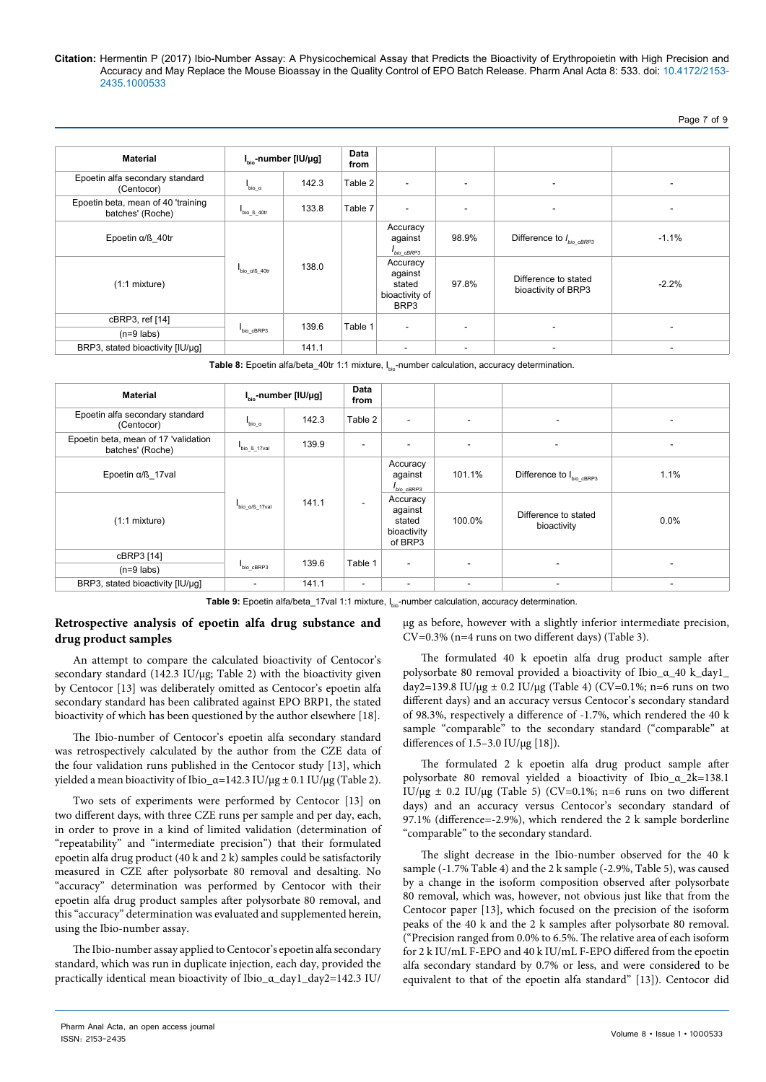Page 7 of 9

| <b>Material</b>                                        | $Ibio$ -number [IU/µg]    |       | Data<br>from |                                                         |                          |                                             |                          |
|--------------------------------------------------------|---------------------------|-------|--------------|---------------------------------------------------------|--------------------------|---------------------------------------------|--------------------------|
| Epoetin alfa secondary standard<br>(Centocor)          | $\frac{1}{\text{bio\_a}}$ | 142.3 | Table $2 $   | ۰                                                       | $\overline{\phantom{a}}$ | $\overline{\phantom{a}}$                    | $\overline{\phantom{a}}$ |
| Epoetin beta, mean of 40 'training<br>batches' (Roche) | bio_ß_40tr                | 133.8 | Table 7      | ۰                                                       | $\overline{\phantom{a}}$ | ٠                                           | $\overline{\phantom{a}}$ |
| Epoetin $\alpha$ /ß 40tr                               |                           |       |              | Accuracy<br>against<br>bio cBRP3                        | 98.9%                    | Difference to $I_{bio\_cBRP3}$              | $-1.1%$                  |
| $(1:1$ mixture)                                        | bio a/ß 40tr              | 138.0 |              | Accuracy<br>against<br>stated<br>bioactivity of<br>BRP3 | 97.8%                    | Difference to stated<br>bioactivity of BRP3 | $-2.2%$                  |
| cBRP3, ref [14]                                        |                           | 139.6 | Table 1      | $\overline{\phantom{a}}$                                | $\overline{\phantom{a}}$ | $\overline{\phantom{a}}$                    | $\overline{\phantom{a}}$ |
| $(n=9$ labs)                                           | bio cBRP3                 |       |              |                                                         |                          |                                             |                          |
| BRP3, stated bioactivity [IU/µg]                       |                           | 141.1 |              | -                                                       | $\overline{\phantom{a}}$ |                                             |                          |

Table 8: Epoetin alfa/beta\_40tr 1:1 mixture, I<sub>bio-</sub>number calculation, accuracy determination.

| <b>Material</b>                                          |                               | $Ibio$ -number [IU/µg] | Data<br>from             |                                                         |        |                                      |                          |
|----------------------------------------------------------|-------------------------------|------------------------|--------------------------|---------------------------------------------------------|--------|--------------------------------------|--------------------------|
| Epoetin alfa secondary standard<br>(Centocor)            | $I_{bio_\alpha}$              | 142.3                  | Table 2                  | $\overline{\phantom{a}}$                                |        |                                      | $\overline{\phantom{a}}$ |
| Epoetin beta, mean of 17 'validation<br>batches' (Roche) | $Ibio_8_17val$                | 139.9                  | $\overline{\phantom{0}}$ |                                                         | ۰      | $\overline{\phantom{a}}$             | $\overline{\phantom{a}}$ |
| Epoetin $\alpha$ / $\beta$ 17 val                        |                               |                        |                          | Accuracy<br>against<br>$I_{bio\_CBRP3}$                 | 101.1% | Difference to I <sub>bio_cBRP3</sub> | 1.1%                     |
| $(1:1$ mixture)                                          | $bio_\alpha$ / $\beta$ _17val | 141.1                  | $\overline{\phantom{a}}$ | Accuracy<br>against<br>stated<br>bioactivity<br>of BRP3 | 100.0% | Difference to stated<br>bioactivity  | 0.0%                     |
| cBRP3 [14]                                               |                               | 139.6                  | Table 1                  | $\overline{\phantom{a}}$                                |        |                                      |                          |
| $(n=9$ labs)                                             | bio cBRP3                     |                        |                          |                                                         |        |                                      |                          |
| BRP3, stated bioactivity [IU/µg]                         | $\overline{\phantom{a}}$      | 141.1                  | $\overline{\phantom{a}}$ | $\overline{\phantom{a}}$                                |        |                                      | ۰                        |

Table 9: Epoetin alfa/beta\_17val 1:1 mixture, I<sub>bio</sub>-number calculation, accuracy determination.

## **Retrospective analysis of epoetin alfa drug substance and drug product samples**

An attempt to compare the calculated bioactivity of Centocor's secondary standard (142.3 IU/µg; Table 2) with the bioactivity given by Centocor [13] was deliberately omitted as Centocor's epoetin alfa secondary standard has been calibrated against EPO BRP1, the stated bioactivity of which has been questioned by the author elsewhere [18].

The Ibio-number of Centocor's epoetin alfa secondary standard was retrospectively calculated by the author from the CZE data of the four validation runs published in the Centocor study [13], which yielded a mean bioactivity of Ibio\_α=142.3 IU/μg  $±$  0.1 IU/μg (Table 2).

Two sets of experiments were performed by Centocor [13] on two different days, with three CZE runs per sample and per day, each, in order to prove in a kind of limited validation (determination of "repeatability" and "intermediate precision") that their formulated epoetin alfa drug product (40 k and 2 k) samples could be satisfactorily measured in CZE after polysorbate 80 removal and desalting. No "accuracy" determination was performed by Centocor with their epoetin alfa drug product samples after polysorbate 80 removal, and this "accuracy" determination was evaluated and supplemented herein, using the Ibio-number assay.

The Ibio-number assay applied to Centocor's epoetin alfa secondary standard, which was run in duplicate injection, each day, provided the practically identical mean bioactivity of Ibio\_α\_day1\_day2=142.3 IU/

µg as before, however with a slightly inferior intermediate precision, CV=0.3% (n=4 runs on two different days) (Table 3).

The formulated 40 k epoetin alfa drug product sample after polysorbate 80 removal provided a bioactivity of Ibio\_α\_40 k\_day1\_ day2=139.8 IU/ $\mu$ g ± 0.2 IU/ $\mu$ g (Table 4) (CV=0.1%; n=6 runs on two different days) and an accuracy versus Centocor's secondary standard of 98.3%, respectively a difference of -1.7%, which rendered the 40 k sample "comparable" to the secondary standard ("comparable" at differences of 1.5–3.0 IU/µg [18]).

The formulated 2 k epoetin alfa drug product sample after polysorbate 80 removal yielded a bioactivity of Ibio\_α\_2k=138.1 IU/ $\mu$ g ± 0.2 IU/ $\mu$ g (Table 5) (CV=0.1%; n=6 runs on two different days) and an accuracy versus Centocor's secondary standard of 97.1% (difference=-2.9%), which rendered the 2 k sample borderline "comparable" to the secondary standard.

The slight decrease in the Ibio-number observed for the 40 k sample (-1.7% Table 4) and the 2 k sample (-2.9%, Table 5), was caused by a change in the isoform composition observed after polysorbate 80 removal, which was, however, not obvious just like that from the Centocor paper [13], which focused on the precision of the isoform peaks of the 40 k and the 2 k samples after polysorbate 80 removal.  $\tilde{C}$  Precision ranged from 0.0% to 6.5%. The relative area of each isoform for 2 k IU/mL F-EPO and 40 k IU/mL F-EPO differed from the epoetin alfa secondary standard by 0.7% or less, and were considered to be equivalent to that of the epoetin alfa standard" [13]). Centocor did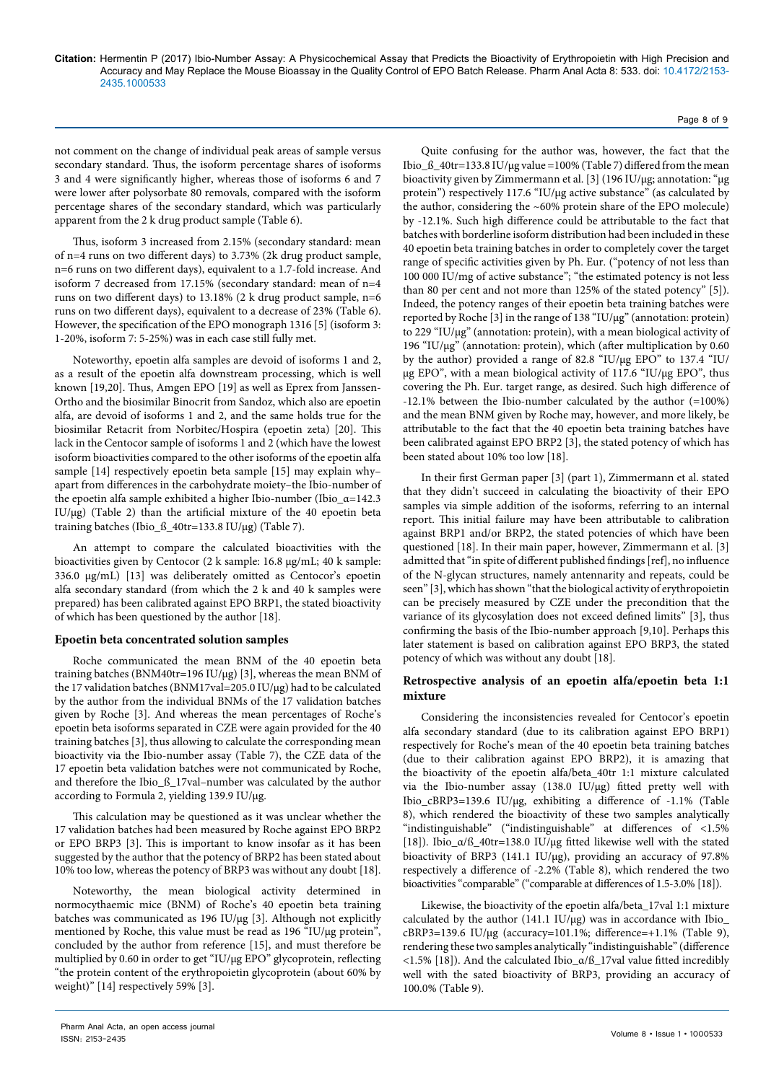Page 8 of 9

not comment on the change of individual peak areas of sample versus secondary standard. Thus, the isoform percentage shares of isoforms 3 and 4 were significantly higher, whereas those of isoforms 6 and 7 were lower after polysorbate 80 removals, compared with the isoform percentage shares of the secondary standard, which was particularly apparent from the 2 k drug product sample (Table 6).

Thus, isoform 3 increased from 2.15% (secondary standard: mean of n=4 runs on two different days) to 3.73% (2k drug product sample, n=6 runs on two different days), equivalent to a 1.7-fold increase. And isoform 7 decreased from 17.15% (secondary standard: mean of n=4 runs on two different days) to 13.18% (2 k drug product sample, n=6 runs on two different days), equivalent to a decrease of 23% (Table 6). However, the specification of the EPO monograph 1316 [5] (isoform 3: 1-20%, isoform 7: 5-25%) was in each case still fully met.

Noteworthy, epoetin alfa samples are devoid of isoforms 1 and 2, as a result of the epoetin alfa downstream processing, which is well known [19,20]. Thus, Amgen EPO [19] as well as Eprex from Janssen-Ortho and the biosimilar Binocrit from Sandoz, which also are epoetin alfa, are devoid of isoforms 1 and 2, and the same holds true for the biosimilar Retacrit from Norbitec/Hospira (epoetin zeta) [20]. This lack in the Centocor sample of isoforms 1 and 2 (which have the lowest isoform bioactivities compared to the other isoforms of the epoetin alfa sample [14] respectively epoetin beta sample [15] may explain why– apart from differences in the carbohydrate moiety–the Ibio-number of the epoetin alfa sample exhibited a higher Ibio-number (Ibio\_α=142.3 IU/ $\mu$ g) (Table 2) than the artificial mixture of the 40 epoetin beta training batches (Ibio\_ß\_40tr=133.8 IU/µg) (Table 7).

An attempt to compare the calculated bioactivities with the bioactivities given by Centocor (2 k sample: 16.8 µg/mL; 40 k sample: 336.0 µg/mL) [13] was deliberately omitted as Centocor's epoetin alfa secondary standard (from which the 2 k and 40 k samples were prepared) has been calibrated against EPO BRP1, the stated bioactivity of which has been questioned by the author [18].

## **Epoetin beta concentrated solution samples**

Roche communicated the mean BNM of the 40 epoetin beta training batches (BNM40tr=196 IU/µg) [3], whereas the mean BNM of the 17 validation batches (BNM17val=205.0 IU/µg) had to be calculated by the author from the individual BNMs of the 17 validation batches given by Roche [3]. And whereas the mean percentages of Roche's epoetin beta isoforms separated in CZE were again provided for the 40 training batches [3], thus allowing to calculate the corresponding mean bioactivity via the Ibio-number assay (Table 7), the CZE data of the 17 epoetin beta validation batches were not communicated by Roche, and therefore the Ibio\_ß\_17val–number was calculated by the author according to Formula 2, yielding 139.9 IU/µg.

This calculation may be questioned as it was unclear whether the 17 validation batches had been measured by Roche against EPO BRP2 or EPO BRP3 [3]. This is important to know insofar as it has been suggested by the author that the potency of BRP2 has been stated about 10% too low, whereas the potency of BRP3 was without any doubt [18].

Noteworthy, the mean biological activity determined in normocythaemic mice (BNM) of Roche's 40 epoetin beta training batches was communicated as 196 IU/µg [3]. Although not explicitly mentioned by Roche, this value must be read as 196 "IU/µg protein", concluded by the author from reference [15], and must therefore be multiplied by 0.60 in order to get "IU/µg EPO" glycoprotein, reflecting "the protein content of the erythropoietin glycoprotein (about 60% by weight)" [14] respectively 59% [3].

Quite confusing for the author was, however, the fact that the Ibio\_ $\beta$ \_40tr=133.8 IU/µg value =100% (Table 7) differed from the mean bioactivity given by Zimmermann et al. [3] (196 IU/µg; annotation: "µg protein") respectively 117.6 "IU/µg active substance" (as calculated by the author, considering the ~60% protein share of the EPO molecule) by -12.1%. Such high difference could be attributable to the fact that batches with borderline isoform distribution had been included in these 40 epoetin beta training batches in order to completely cover the target range of specific activities given by Ph. Eur. ("potency of not less than 100 000 IU/mg of active substance"; "the estimated potency is not less than 80 per cent and not more than 125% of the stated potency" [5]). Indeed, the potency ranges of their epoetin beta training batches were reported by Roche [3] in the range of  $138$  "IU/ $\mu$ g" (annotation: protein) to 229 "IU/µg" (annotation: protein), with a mean biological activity of 196 "IU/ $\mu$ g" (annotation: protein), which (after multiplication by 0.60 by the author) provided a range of 82.8 "IU/µg EPO" to 137.4 "IU/ µg EPO", with a mean biological activity of 117.6 "IU/µg EPO", thus covering the Ph. Eur. target range, as desired. Such high difference of -12.1% between the Ibio-number calculated by the author (=100%) and the mean BNM given by Roche may, however, and more likely, be attributable to the fact that the 40 epoetin beta training batches have been calibrated against EPO BRP2 [3], the stated potency of which has been stated about 10% too low [18].

In their first German paper [3] (part 1), Zimmermann et al. stated that they didn't succeed in calculating the bioactivity of their EPO samples via simple addition of the isoforms, referring to an internal report. This initial failure may have been attributable to calibration against BRP1 and/or BRP2, the stated potencies of which have been questioned [18]. In their main paper, however, Zimmermann et al. [3] admitted that "in spite of different published findings [ref], no influence of the N-glycan structures, namely antennarity and repeats, could be seen" [3], which has shown "that the biological activity of erythropoietin can be precisely measured by CZE under the precondition that the variance of its glycosylation does not exceed defined limits" [3], thus confirming the basis of the Ibio-number approach [9,10]. Perhaps this later statement is based on calibration against EPO BRP3, the stated potency of which was without any doubt [18].

## **Retrospective analysis of an epoetin alfa/epoetin beta 1:1 mixture**

Considering the inconsistencies revealed for Centocor's epoetin alfa secondary standard (due to its calibration against EPO BRP1) respectively for Roche's mean of the 40 epoetin beta training batches (due to their calibration against EPO BRP2), it is amazing that the bioactivity of the epoetin alfa/beta\_40tr 1:1 mixture calculated via the Ibio-number assay (138.0 IU/µg) fitted pretty well with Ibio\_cBRP3=139.6 IU/µg, exhibiting a difference of -1.1% (Table 8), which rendered the bioactivity of these two samples analytically "indistinguishable" ("indistinguishable" at differences of <1.5% [18]). Ibio\_α/ß\_40tr=138.0 IU/µg fitted likewise well with the stated bioactivity of BRP3 (141.1 IU/µg), providing an accuracy of 97.8% respectively a difference of -2.2% (Table 8), which rendered the two bioactivities "comparable" ("comparable at differences of 1.5-3.0% [18]).

Likewise, the bioactivity of the epoetin alfa/beta\_17val 1:1 mixture calculated by the author (141.1 IU/ $\mu$ g) was in accordance with Ibio\_ cBRP3=139.6 IU/µg (accuracy=101.1%; difference=+1.1% (Table 9), rendering these two samples analytically "indistinguishable" (difference <1.5% [18]). And the calculated Ibio\_α/ß\_17val value fitted incredibly well with the sated bioactivity of BRP3, providing an accuracy of 100.0% (Table 9).